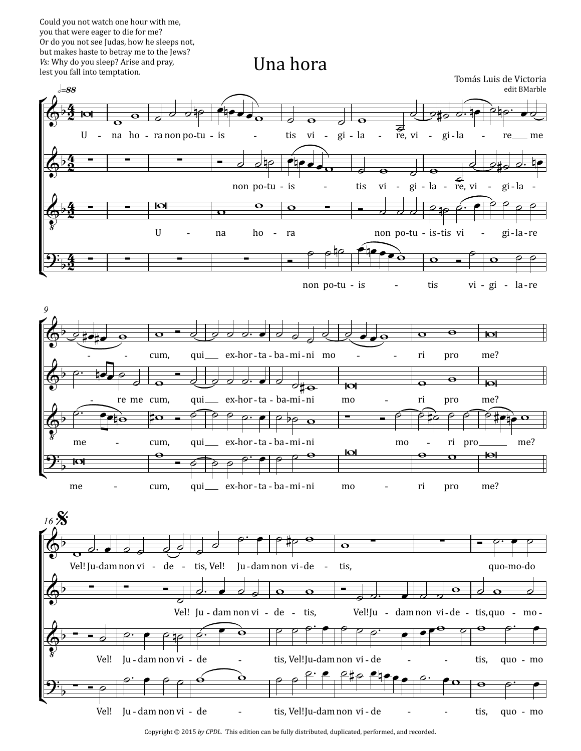Could you not watch one hour with me, you that were eager to die for me? Or do you not see Judas, how he sleeps not, but makes haste to betray me to the Jews? *Vs:* Why do you sleep? Arise and pray,



Copyright © 2015 *by CPDL.* This edition can be fully distributed, duplicated, performed, and recorded.